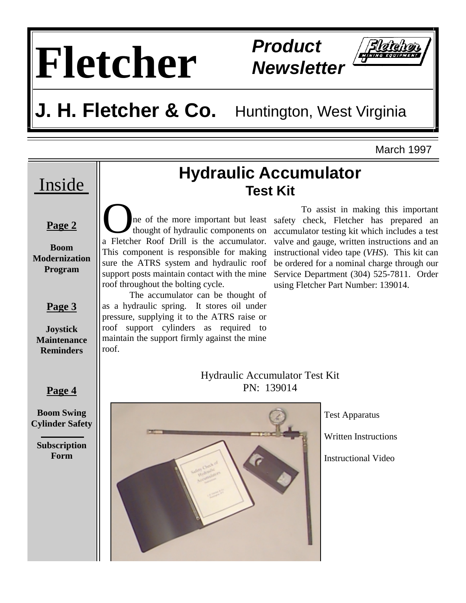# **Fletcher Product**

**Newsletter** 

# **J. H. Fletcher & Co.** Huntington, West Virginia

March 1997



**Page 2**

### **Boom Modernization Program**

## **Page 3**

**Joystick Maintenance Reminders** 

## **Hydraulic Accumulator Test Kit**

The of the more important but least<br>thought of hydraulic components on<br>a Fletcher Roof Drill is the accumulator thought of hydraulic components on a Fletcher Roof Drill is the accumulator. This component is responsible for making sure the ATRS system and hydraulic roof support posts maintain contact with the mine roof throughout the bolting cycle.

 The accumulator can be thought of as a hydraulic spring. It stores oil under pressure, supplying it to the ATRS raise or roof support cylinders as required to maintain the support firmly against the mine roof.

 To assist in making this important safety check, Fletcher has prepared an accumulator testing kit which includes a test valve and gauge, written instructions and an instructional video tape (*VHS*). This kit can be ordered for a nominal charge through our Service Department (304) 525-7811. Order using Fletcher Part Number: 139014.

## Hydraulic Accumulator Test Kit PN: 139014



Test Apparatus

Written Instructions

Instructional Video

**Page 4**

**Boom Swing Cylinder Safety** 

**Subscription Form**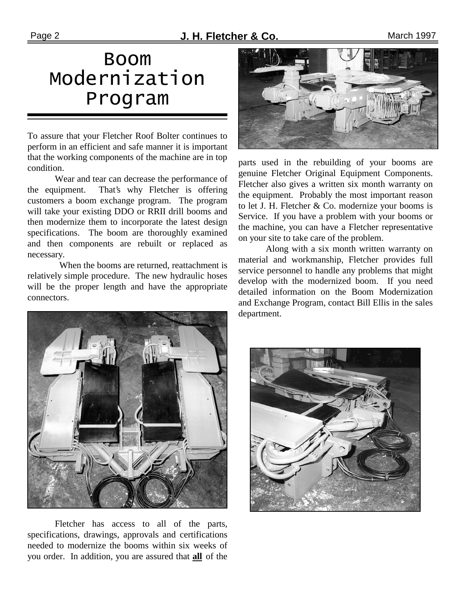# Boom Modernization Program

To assure that your Fletcher Roof Bolter continues to perform in an efficient and safe manner it is important that the working components of the machine are in top condition.

 Wear and tear can decrease the performance of the equipment. That's why Fletcher is offering customers a boom exchange program. The program will take your existing DDO or RRII drill booms and then modernize them to incorporate the latest design specifications. The boom are thoroughly examined and then components are rebuilt or replaced as necessary.

 When the booms are returned, reattachment is relatively simple procedure. The new hydraulic hoses will be the proper length and have the appropriate connectors.



 Fletcher has access to all of the parts, specifications, drawings, approvals and certifications needed to modernize the booms within six weeks of you order. In addition, you are assured that **all** of the



parts used in the rebuilding of your booms are genuine Fletcher Original Equipment Components. Fletcher also gives a written six month warranty on the equipment. Probably the most important reason to let J. H. Fletcher & Co. modernize your booms is Service. If you have a problem with your booms or the machine, you can have a Fletcher representative on your site to take care of the problem.

 Along with a six month written warranty on material and workmanship, Fletcher provides full service personnel to handle any problems that might develop with the modernized boom. If you need detailed information on the Boom Modernization and Exchange Program, contact Bill Ellis in the sales department.

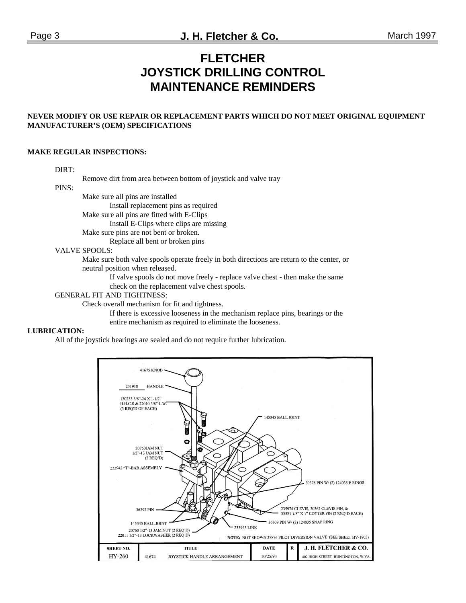## **FLETCHER JOYSTICK DRILLING CONTROL MAINTENANCE REMINDERS**

#### **NEVER MODIFY OR USE REPAIR OR REPLACEMENT PARTS WHICH DO NOT MEET ORIGINAL EQUIPMENT MANUFACTURER'S (OEM) SPECIFICATIONS**

#### **MAKE REGULAR INSPECTIONS:**

#### DIRT:

Remove dirt from area between bottom of joystick and valve tray

#### PINS:

Make sure all pins are installed

Install replacement pins as required

Make sure all pins are fitted with E-Clips

Install E-Clips where clips are missing

Make sure pins are not bent or broken.

Replace all bent or broken pins

#### VALVE SPOOLS:

 Make sure both valve spools operate freely in both directions are return to the center, or neutral position when released.

> If valve spools do not move freely - replace valve chest - then make the same check on the replacement valve chest spools.

#### GENERAL FIT AND TIGHTNESS:

Check overall mechanism for fit and tightness.

 If there is excessive looseness in the mechanism replace pins, bearings or the entire mechanism as required to eliminate the looseness.

#### **LUBRICATION:**

All of the joystick bearings are sealed and do not require further lubrication.